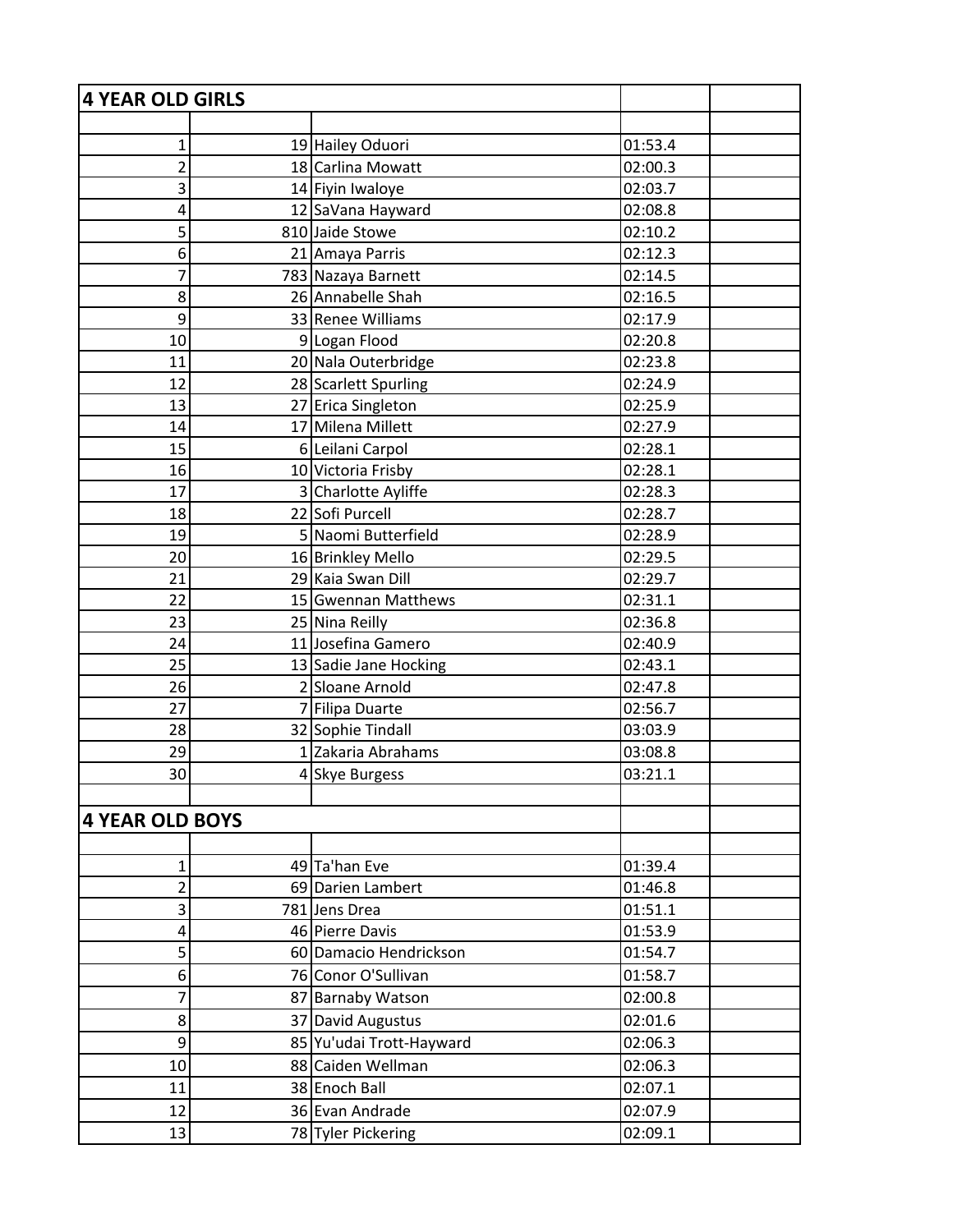| <b>4 YEAR OLD GIRLS</b> |                          |         |  |
|-------------------------|--------------------------|---------|--|
|                         |                          |         |  |
| $\mathbf{1}$            | 19 Hailey Oduori         | 01:53.4 |  |
| $\overline{2}$          | 18 Carlina Mowatt        | 02:00.3 |  |
| 3                       | 14 Fiyin Iwaloye         | 02:03.7 |  |
| 4                       | 12 SaVana Hayward        | 02:08.8 |  |
| 5                       | 810 Jaide Stowe          | 02:10.2 |  |
| 6                       | 21 Amaya Parris          | 02:12.3 |  |
| 7                       | 783 Nazaya Barnett       | 02:14.5 |  |
| 8                       | 26 Annabelle Shah        | 02:16.5 |  |
| 9                       | 33 Renee Williams        | 02:17.9 |  |
| 10                      | 9 Logan Flood            | 02:20.8 |  |
| 11                      | 20 Nala Outerbridge      | 02:23.8 |  |
| 12                      | 28 Scarlett Spurling     | 02:24.9 |  |
| 13                      | 27 Erica Singleton       | 02:25.9 |  |
| 14                      | 17 Milena Millett        | 02:27.9 |  |
| 15                      | 6 Leilani Carpol         | 02:28.1 |  |
| 16                      | 10 Victoria Frisby       | 02:28.1 |  |
| 17                      | 3 Charlotte Ayliffe      | 02:28.3 |  |
| 18                      | 22 Sofi Purcell          | 02:28.7 |  |
| 19                      | 5 Naomi Butterfield      | 02:28.9 |  |
| 20                      | 16 Brinkley Mello        | 02:29.5 |  |
| 21                      | 29 Kaia Swan Dill        | 02:29.7 |  |
| 22                      | 15 Gwennan Matthews      | 02:31.1 |  |
| 23                      | 25 Nina Reilly           | 02:36.8 |  |
| 24                      | 11 Josefina Gamero       | 02:40.9 |  |
| 25                      | 13 Sadie Jane Hocking    | 02:43.1 |  |
| 26                      | 2 Sloane Arnold          | 02:47.8 |  |
| 27                      | 7 Filipa Duarte          | 02:56.7 |  |
| 28                      | 32 Sophie Tindall        | 03:03.9 |  |
| 29                      | 1 Zakaria Abrahams       | 03:08.8 |  |
| 30                      | 4 Skye Burgess           | 03:21.1 |  |
|                         |                          |         |  |
| <b>4 YEAR OLD BOYS</b>  |                          |         |  |
|                         |                          |         |  |
| $\mathbf 1$             | 49 Ta'han Eve            | 01:39.4 |  |
| $\overline{2}$          | 69 Darien Lambert        | 01:46.8 |  |
| 3                       | 781 Jens Drea            | 01:51.1 |  |
| 4                       | 46 Pierre Davis          | 01:53.9 |  |
| 5                       | 60 Damacio Hendrickson   | 01:54.7 |  |
| 6                       | 76 Conor O'Sullivan      | 01:58.7 |  |
| 7                       | 87 Barnaby Watson        | 02:00.8 |  |
| 8                       | 37 David Augustus        | 02:01.6 |  |
| 9                       | 85 Yu'udai Trott-Hayward | 02:06.3 |  |
| 10                      | 88 Caiden Wellman        | 02:06.3 |  |
| 11                      | 38 Enoch Ball            | 02:07.1 |  |
| 12                      | 36 Evan Andrade          | 02:07.9 |  |
| 13                      | 78 Tyler Pickering       | 02:09.1 |  |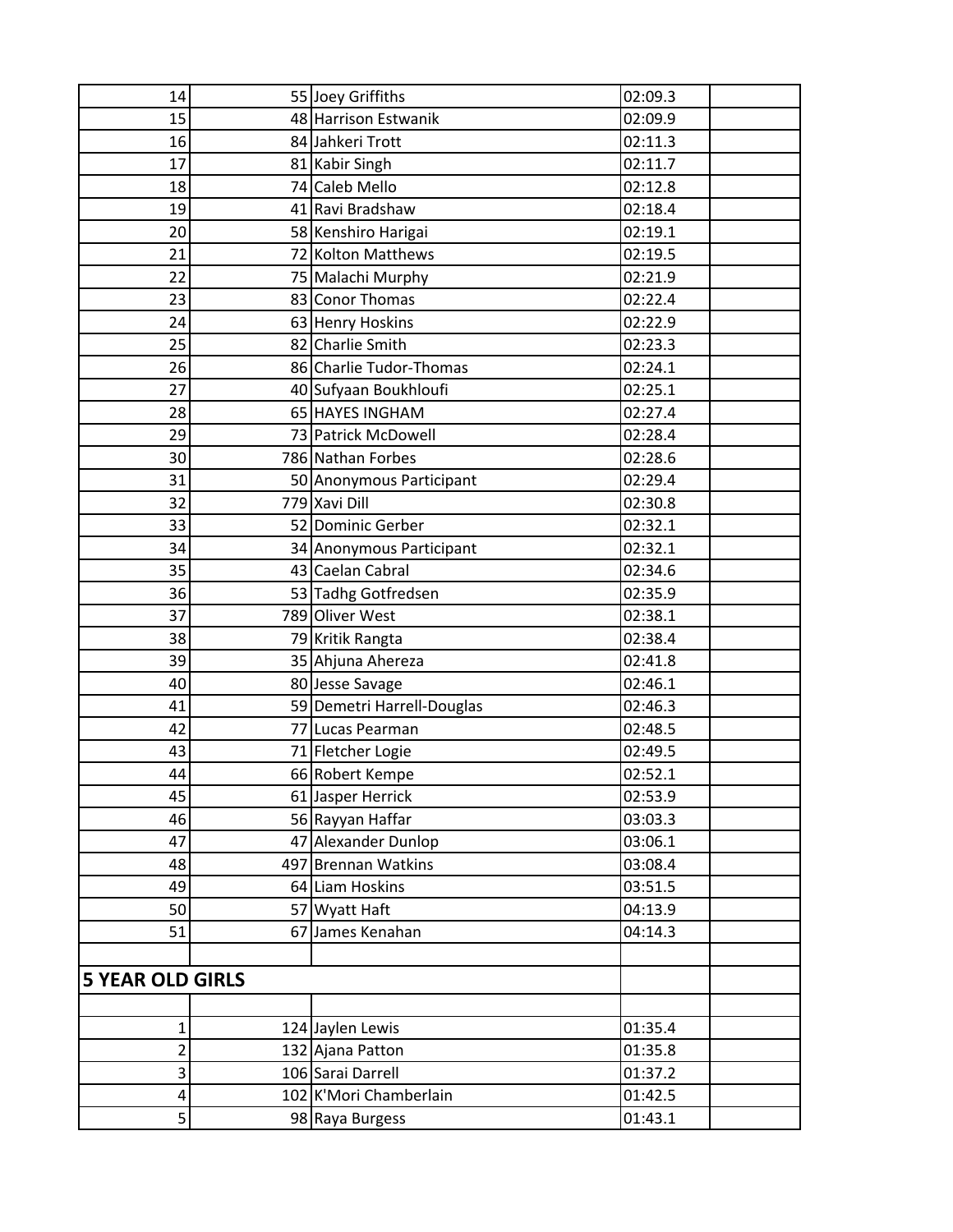| 14                      | 55 Joey Griffiths          | 02:09.3 |  |
|-------------------------|----------------------------|---------|--|
| 15                      | 48 Harrison Estwanik       | 02:09.9 |  |
| 16                      | 84 Jahkeri Trott           | 02:11.3 |  |
| 17                      | 81 Kabir Singh             | 02:11.7 |  |
| 18                      | 74 Caleb Mello             | 02:12.8 |  |
| 19                      | 41 Ravi Bradshaw           | 02:18.4 |  |
| 20                      | 58 Kenshiro Harigai        | 02:19.1 |  |
| 21                      | 72 Kolton Matthews         | 02:19.5 |  |
| 22                      | 75 Malachi Murphy          | 02:21.9 |  |
| 23                      | 83 Conor Thomas            | 02:22.4 |  |
| 24                      | 63 Henry Hoskins           | 02:22.9 |  |
| 25                      | 82 Charlie Smith           | 02:23.3 |  |
| 26                      | 86 Charlie Tudor-Thomas    | 02:24.1 |  |
| 27                      | 40 Sufyaan Boukhloufi      | 02:25.1 |  |
| 28                      | 65 HAYES INGHAM            | 02:27.4 |  |
| 29                      | 73 Patrick McDowell        | 02:28.4 |  |
| 30                      | 786 Nathan Forbes          | 02:28.6 |  |
| 31                      | 50 Anonymous Participant   | 02:29.4 |  |
| 32                      | 779 Xavi Dill              | 02:30.8 |  |
| 33                      | 52 Dominic Gerber          | 02:32.1 |  |
| 34                      | 34 Anonymous Participant   | 02:32.1 |  |
| 35                      | 43 Caelan Cabral           | 02:34.6 |  |
| 36                      | 53 Tadhg Gotfredsen        | 02:35.9 |  |
| 37                      | 789 Oliver West            | 02:38.1 |  |
| 38                      | 79 Kritik Rangta           | 02:38.4 |  |
| 39                      | 35 Ahjuna Ahereza          | 02:41.8 |  |
| 40                      | 80 Jesse Savage            | 02:46.1 |  |
| 41                      | 59 Demetri Harrell-Douglas | 02:46.3 |  |
| 42                      | 77 Lucas Pearman           | 02:48.5 |  |
| 43                      | 71 Fletcher Logie          | 02:49.5 |  |
| 44                      | 66 Robert Kempe            | 02:52.1 |  |
| 45                      | 61 Jasper Herrick          | 02:53.9 |  |
| 46                      | 56 Rayyan Haffar           | 03:03.3 |  |
| 47                      | 47 Alexander Dunlop        | 03:06.1 |  |
| 48                      | 497 Brennan Watkins        | 03:08.4 |  |
| 49                      | 64 Liam Hoskins            | 03:51.5 |  |
| 50                      | 57 Wyatt Haft              | 04:13.9 |  |
| 51                      | 67 James Kenahan           | 04:14.3 |  |
|                         |                            |         |  |
| <b>5 YEAR OLD GIRLS</b> |                            |         |  |
|                         |                            |         |  |
| 1                       | 124 Jaylen Lewis           | 01:35.4 |  |
| 2                       | 132 Ajana Patton           | 01:35.8 |  |
| 3                       | 106 Sarai Darrell          | 01:37.2 |  |
| 4                       | 102 K'Mori Chamberlain     | 01:42.5 |  |
| 5                       | 98 Raya Burgess            | 01:43.1 |  |
|                         |                            |         |  |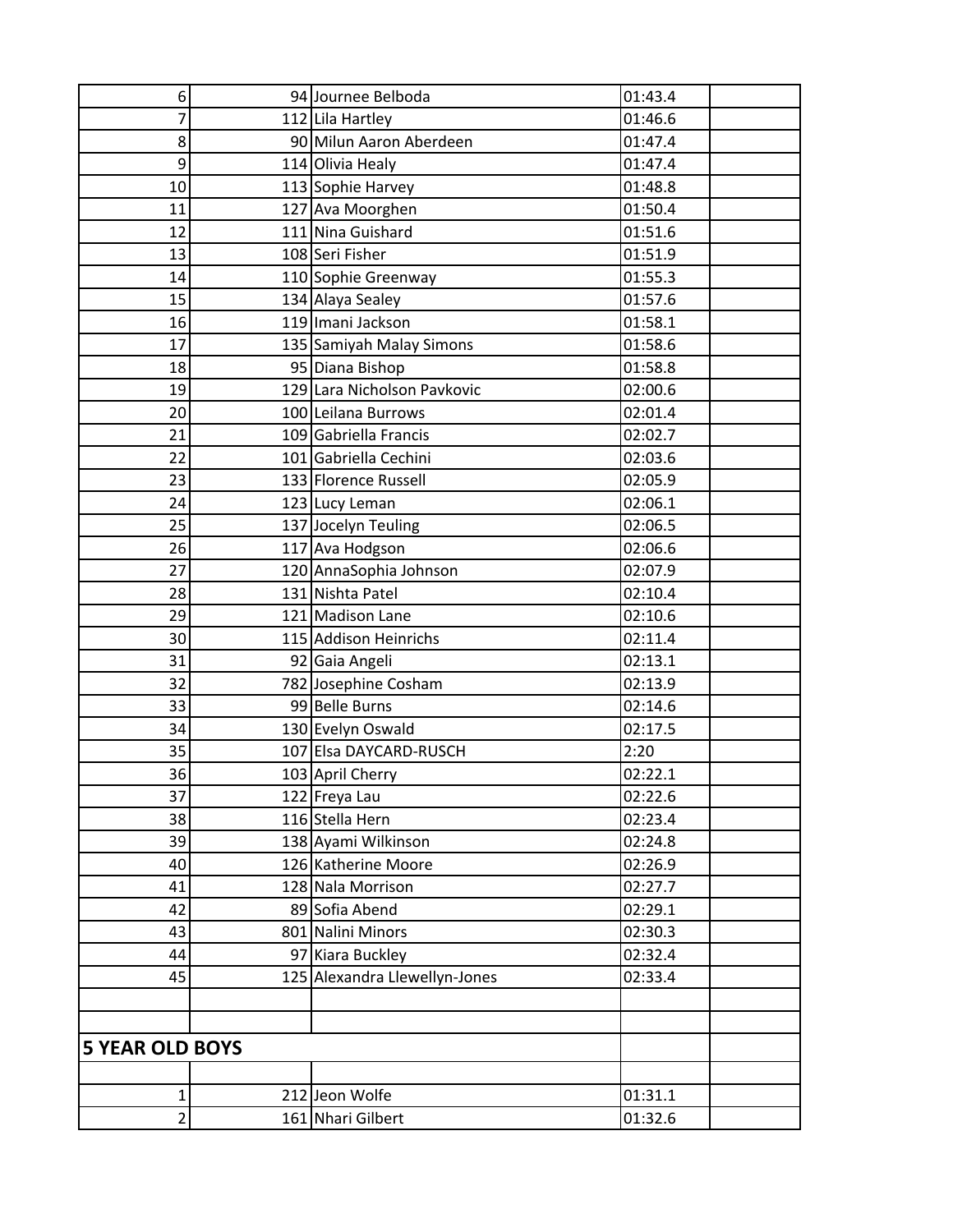| 6                       | 94 Journee Belboda            | 01:43.4 |
|-------------------------|-------------------------------|---------|
| 7                       | 112 Lila Hartley              | 01:46.6 |
| 8                       | 90 Milun Aaron Aberdeen       | 01:47.4 |
| 9                       | 114 Olivia Healy              | 01:47.4 |
| 10                      | 113 Sophie Harvey             | 01:48.8 |
| 11                      | 127 Ava Moorghen              | 01:50.4 |
| 12                      | 111 Nina Guishard             | 01:51.6 |
| 13                      | 108 Seri Fisher               | 01:51.9 |
| 14                      | 110 Sophie Greenway           | 01:55.3 |
| 15                      | 134 Alaya Sealey              | 01:57.6 |
| 16                      | 119 Imani Jackson             | 01:58.1 |
| 17                      | 135 Samiyah Malay Simons      | 01:58.6 |
| 18                      | 95 Diana Bishop               | 01:58.8 |
| 19                      | 129 Lara Nicholson Pavkovic   | 02:00.6 |
| 20                      | 100 Leilana Burrows           | 02:01.4 |
| 21                      | 109 Gabriella Francis         | 02:02.7 |
| 22                      | 101 Gabriella Cechini         | 02:03.6 |
| 23                      | 133 Florence Russell          | 02:05.9 |
| 24                      | 123 Lucy Leman                | 02:06.1 |
| 25                      | 137 Jocelyn Teuling           | 02:06.5 |
| 26                      | 117 Ava Hodgson               | 02:06.6 |
| 27                      | 120 AnnaSophia Johnson        | 02:07.9 |
| 28                      | 131 Nishta Patel              | 02:10.4 |
| 29                      | 121 Madison Lane              | 02:10.6 |
| 30                      | 115 Addison Heinrichs         | 02:11.4 |
| 31                      | 92 Gaia Angeli                | 02:13.1 |
| 32                      | 782 Josephine Cosham          | 02:13.9 |
| 33                      | 99 Belle Burns                | 02:14.6 |
| 34                      | 130 Evelyn Oswald             | 02:17.5 |
| 35                      | 107 Elsa DAYCARD-RUSCH        | 2:20    |
| 36                      | 103 April Cherry              | 02:22.1 |
| 37                      | 122 Freya Lau                 | 02:22.6 |
| 38                      | 116 Stella Hern               | 02:23.4 |
| 39                      | 138 Ayami Wilkinson           | 02:24.8 |
| 40                      | 126 Katherine Moore           | 02:26.9 |
| 41                      | 128 Nala Morrison             | 02:27.7 |
| 42                      | 89 Sofia Abend                | 02:29.1 |
| 43                      | 801 Nalini Minors             | 02:30.3 |
| 44                      | 97 Kiara Buckley              | 02:32.4 |
| 45                      | 125 Alexandra Llewellyn-Jones | 02:33.4 |
|                         |                               |         |
|                         |                               |         |
| <b>5 YEAR OLD BOYS</b>  |                               |         |
|                         |                               |         |
| $\mathbf 1$             | 212 Jeon Wolfe                | 01:31.1 |
| $\overline{\mathbf{c}}$ | 161 Nhari Gilbert             | 01:32.6 |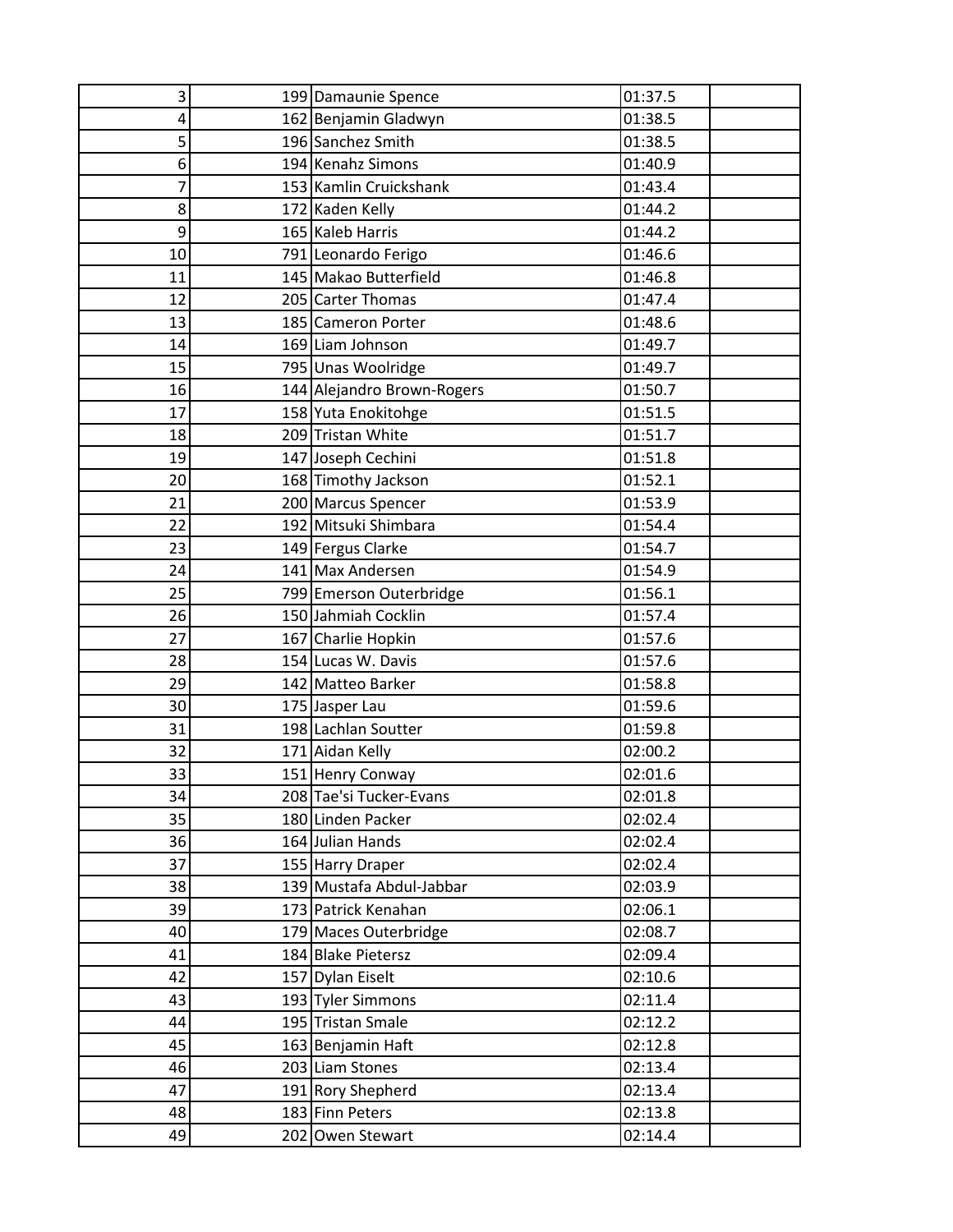| 3        | 199 Damaunie Spence                          | 01:37.5            |
|----------|----------------------------------------------|--------------------|
| 4        | 162 Benjamin Gladwyn                         | 01:38.5            |
| 5        | 196 Sanchez Smith                            | 01:38.5            |
| 6        | 194 Kenahz Simons                            | 01:40.9            |
| 7        | 153 Kamlin Cruickshank                       | 01:43.4            |
| 8        | 172 Kaden Kelly                              | 01:44.2            |
| 9        | 165 Kaleb Harris                             | 01:44.2            |
| 10       | 791 Leonardo Ferigo                          | 01:46.6            |
| 11       | 145 Makao Butterfield                        | 01:46.8            |
| 12       | 205 Carter Thomas                            | 01:47.4            |
| 13       | 185 Cameron Porter                           | 01:48.6            |
| 14       | 169 Liam Johnson                             | 01:49.7            |
| 15       | 795 Unas Woolridge                           | 01:49.7            |
| 16       | 144 Alejandro Brown-Rogers                   | 01:50.7            |
| 17       | 158 Yuta Enokitohge                          | 01:51.5            |
| 18       | 209 Tristan White                            | 01:51.7            |
| 19       | 147 Joseph Cechini                           | 01:51.8            |
| 20       | 168 Timothy Jackson                          | 01:52.1            |
| 21       | 200 Marcus Spencer                           | 01:53.9            |
| 22       | 192 Mitsuki Shimbara                         | 01:54.4            |
| 23       | 149 Fergus Clarke                            | 01:54.7            |
| 24       | 141 Max Andersen                             | 01:54.9            |
| 25       | 799 Emerson Outerbridge                      | 01:56.1            |
| 26       | 150 Jahmiah Cocklin                          | 01:57.4            |
| 27       | 167 Charlie Hopkin                           | 01:57.6            |
| 28       | 154 Lucas W. Davis                           | 01:57.6            |
| 29       | 142 Matteo Barker                            | 01:58.8            |
| 30       | 175 Jasper Lau                               | 01:59.6            |
| 31       | 198 Lachlan Soutter                          | 01:59.8            |
| 32       | 171 Aidan Kelly                              | 02:00.2            |
| 33       | 151 Henry Conway                             | 02:01.6            |
| 34       | 208 Tae'si Tucker-Evans                      | 02:01.8            |
| 35<br>36 | 180 Linden Packer<br>164 Julian Hands        | 02:02.4<br>02:02.4 |
|          |                                              | 02:02.4            |
| 37<br>38 | 155 Harry Draper<br>139 Mustafa Abdul-Jabbar | 02:03.9            |
| 39       | 173 Patrick Kenahan                          | 02:06.1            |
| 40       | 179 Maces Outerbridge                        | 02:08.7            |
| 41       | 184 Blake Pietersz                           | 02:09.4            |
| 42       | 157 Dylan Eiselt                             | 02:10.6            |
| 43       | 193 Tyler Simmons                            | 02:11.4            |
| 44       | 195 Tristan Smale                            | 02:12.2            |
| 45       | 163 Benjamin Haft                            | 02:12.8            |
| 46       | 203 Liam Stones                              | 02:13.4            |
| 47       | 191 Rory Shepherd                            | 02:13.4            |
| 48       | 183 Finn Peters                              | 02:13.8            |
| 49       | 202 Owen Stewart                             | 02:14.4            |
|          |                                              |                    |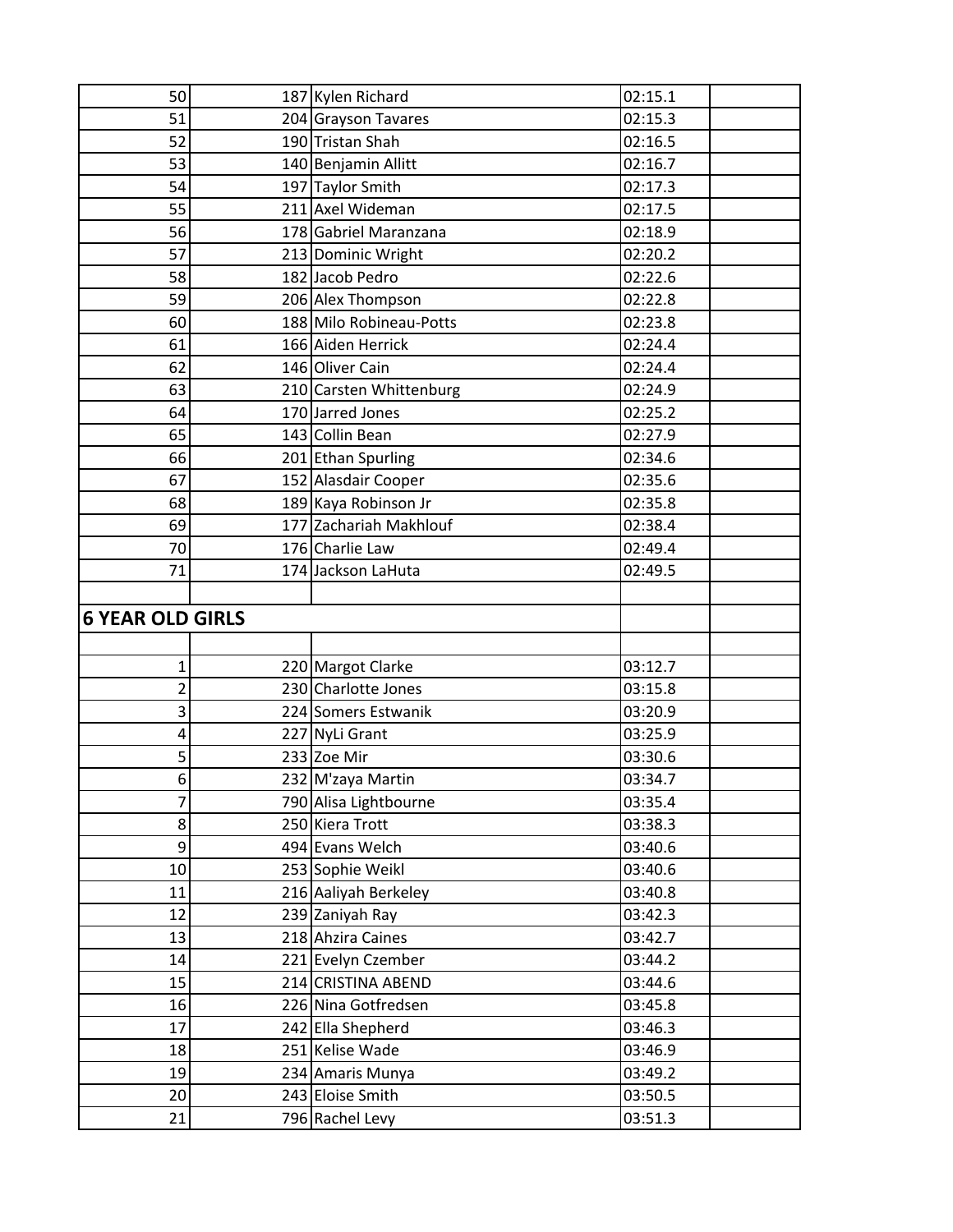| 50                      | 187 Kylen Richard       | 02:15.1               |
|-------------------------|-------------------------|-----------------------|
| 51                      | 204 Grayson Tavares     | $\overline{0}$ 2:15.3 |
| 52                      | 190 Tristan Shah        | 02:16.5               |
| 53                      | 140 Benjamin Allitt     | 02:16.7               |
| 54                      | 197 Taylor Smith        | 02:17.3               |
| 55                      | 211 Axel Wideman        | 02:17.5               |
| 56                      | 178 Gabriel Maranzana   | 02:18.9               |
| 57                      | 213 Dominic Wright      | 02:20.2               |
| 58                      | 182 Jacob Pedro         | 02:22.6               |
| 59                      | 206 Alex Thompson       | 02:22.8               |
| 60                      | 188 Milo Robineau-Potts | 02:23.8               |
| 61                      | 166 Aiden Herrick       | 02:24.4               |
| 62                      | 146 Oliver Cain         | 02:24.4               |
| 63                      | 210 Carsten Whittenburg | 02:24.9               |
| 64                      | 170 Jarred Jones        | 02:25.2               |
| 65                      | 143 Collin Bean         | 02:27.9               |
| 66                      | 201 Ethan Spurling      | 02:34.6               |
| 67                      | 152 Alasdair Cooper     | 02:35.6               |
| 68                      | 189 Kaya Robinson Jr    | 02:35.8               |
| 69                      | 177 Zachariah Makhlouf  | 02:38.4               |
| 70                      | 176 Charlie Law         | 02:49.4               |
| 71                      | 174 Jackson LaHuta      | 02:49.5               |
|                         |                         |                       |
| <b>6 YEAR OLD GIRLS</b> |                         |                       |
|                         |                         |                       |
| 1                       | 220 Margot Clarke       | 03:12.7               |
| $\overline{2}$          | 230 Charlotte Jones     | 03:15.8               |
| 3                       | 224 Somers Estwanik     | 03:20.9               |
| 4                       | 227 NyLi Grant          | 03:25.9               |
| 5                       | 233 Zoe Mir             | 03:30.6               |
| 6                       | 232 M'zaya Martin       | 03:34.7               |
| $\overline{7}$          | 790 Alisa Lightbourne   | 03:35.4               |
| 8                       | 250 Kiera Trott         | 03:38.3               |
| 9                       |                         |                       |
|                         | 494 Evans Welch         | 03:40.6               |
| 10                      | 253 Sophie Weikl        | 03:40.6               |
| 11                      | 216 Aaliyah Berkeley    | 03:40.8               |
| 12                      | 239 Zaniyah Ray         | 03:42.3               |
| 13                      | 218 Ahzira Caines       | 03:42.7               |
| 14                      | 221 Evelyn Czember      | 03:44.2               |
| 15                      | 214 CRISTINA ABEND      | 03:44.6               |
| 16                      | 226 Nina Gotfredsen     | 03:45.8               |
| 17                      | 242 Ella Shepherd       | 03:46.3               |
| 18                      | 251 Kelise Wade         | 03:46.9               |
| 19                      | 234 Amaris Munya        | 03:49.2               |
| 20                      | 243 Eloise Smith        | 03:50.5               |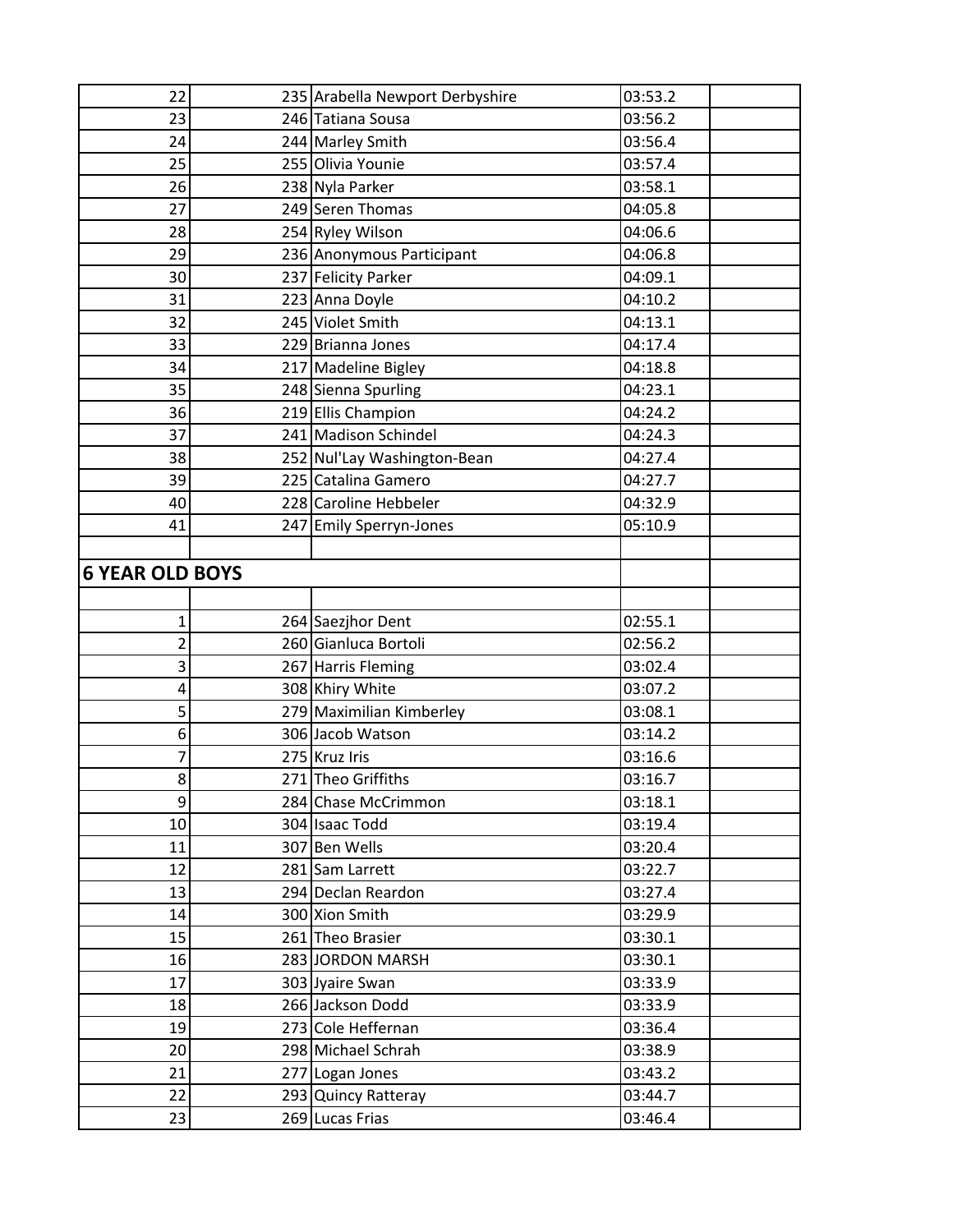| 22                     | 235 Arabella Newport Derbyshire | 03:53.2 |  |
|------------------------|---------------------------------|---------|--|
| 23                     | 246 Tatiana Sousa               | 03:56.2 |  |
| 24                     | 244 Marley Smith                | 03:56.4 |  |
| 25                     | 255 Olivia Younie               | 03:57.4 |  |
| 26                     | 238 Nyla Parker                 | 03:58.1 |  |
| 27                     | 249 Seren Thomas                | 04:05.8 |  |
| 28                     | 254 Ryley Wilson                | 04:06.6 |  |
| 29                     | 236 Anonymous Participant       | 04:06.8 |  |
| 30                     | 237 Felicity Parker             | 04:09.1 |  |
| 31                     | 223 Anna Doyle                  | 04:10.2 |  |
| 32                     | 245 Violet Smith                | 04:13.1 |  |
| 33                     | 229 Brianna Jones               | 04:17.4 |  |
| 34                     | 217 Madeline Bigley             | 04:18.8 |  |
| 35                     | 248 Sienna Spurling             | 04:23.1 |  |
| 36                     | 219 Ellis Champion              | 04:24.2 |  |
| 37                     | 241 Madison Schindel            | 04:24.3 |  |
| 38                     | 252 Nul'Lay Washington-Bean     | 04:27.4 |  |
| 39                     | 225 Catalina Gamero             | 04:27.7 |  |
| 40                     | 228 Caroline Hebbeler           | 04:32.9 |  |
| 41                     | 247 Emily Sperryn-Jones         | 05:10.9 |  |
|                        |                                 |         |  |
| <b>6 YEAR OLD BOYS</b> |                                 |         |  |
|                        |                                 |         |  |
| $\mathbf 1$            | 264 Saezjhor Dent               | 02:55.1 |  |
| 2                      | 260 Gianluca Bortoli            | 02:56.2 |  |
| 3                      | 267 Harris Fleming              | 03:02.4 |  |
| 4                      | 308 Khiry White                 | 03:07.2 |  |
| 5                      | 279 Maximilian Kimberley        | 03:08.1 |  |
| 6                      | 306 Jacob Watson                | 03:14.2 |  |
| 7                      | 275 Kruz Iris                   | 03:16.6 |  |
| g                      | 271 Theo Griffiths              | 03:16.7 |  |
| 9                      | 284 Chase McCrimmon             | 03:18.1 |  |
| 10                     | 304 Isaac Todd                  | 03:19.4 |  |
| 11                     | 307 Ben Wells                   | 03:20.4 |  |
| 12                     | 281 Sam Larrett                 | 03:22.7 |  |
| 13                     | 294 Declan Reardon              | 03:27.4 |  |
| 14                     | 300 Xion Smith                  | 03:29.9 |  |
| 15                     | 261 Theo Brasier                | 03:30.1 |  |
| 16                     | 283 JORDON MARSH                | 03:30.1 |  |
| 17                     | 303 Jyaire Swan                 | 03:33.9 |  |
| 18                     | 266 Jackson Dodd                | 03:33.9 |  |
| 19                     | 273 Cole Heffernan              | 03:36.4 |  |
| 20                     | 298 Michael Schrah              | 03:38.9 |  |
| 21                     | 277 Logan Jones                 | 03:43.2 |  |
| 22                     | 293 Quincy Ratteray             | 03:44.7 |  |
| 23                     | 269 Lucas Frias                 | 03:46.4 |  |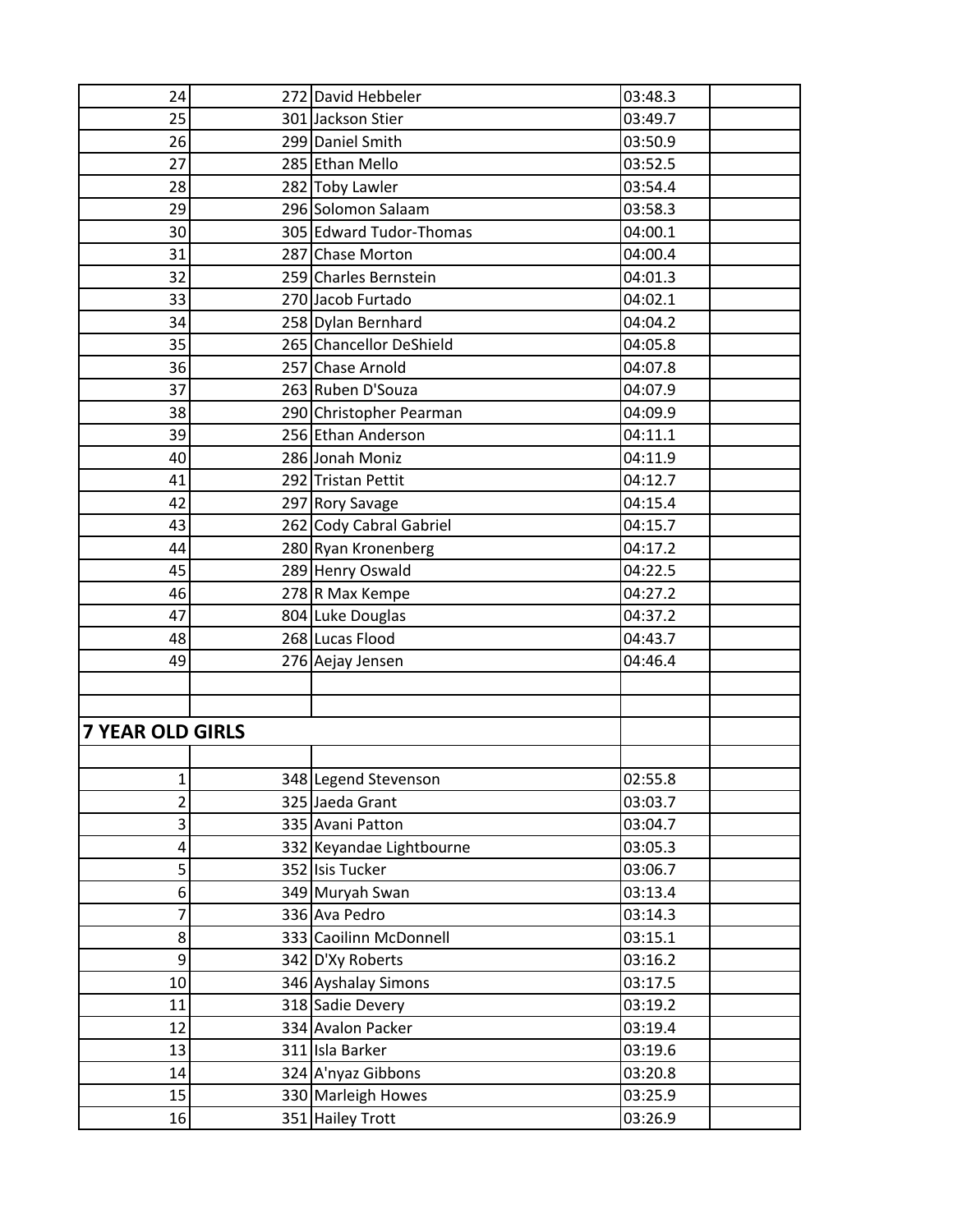| 24                      | 272 David Hebbeler       | 03:48.3 |
|-------------------------|--------------------------|---------|
| 25                      | 301 Jackson Stier        | 03:49.7 |
| 26                      | 299 Daniel Smith         | 03:50.9 |
| 27                      | 285 Ethan Mello          | 03:52.5 |
| 28                      | 282 Toby Lawler          | 03:54.4 |
| 29                      | 296 Solomon Salaam       | 03:58.3 |
| 30                      | 305 Edward Tudor-Thomas  | 04:00.1 |
| 31                      | 287 Chase Morton         | 04:00.4 |
| 32                      | 259 Charles Bernstein    | 04:01.3 |
| 33                      | 270 Jacob Furtado        | 04:02.1 |
| 34                      | 258 Dylan Bernhard       | 04:04.2 |
| 35                      | 265 Chancellor DeShield  | 04:05.8 |
| 36                      | 257 Chase Arnold         | 04:07.8 |
| 37                      | 263 Ruben D'Souza        | 04:07.9 |
| 38                      | 290 Christopher Pearman  | 04:09.9 |
| 39                      | 256 Ethan Anderson       | 04:11.1 |
| 40                      | 286 Jonah Moniz          | 04:11.9 |
| 41                      | 292 Tristan Pettit       | 04:12.7 |
| 42                      | 297 Rory Savage          | 04:15.4 |
| 43                      | 262 Cody Cabral Gabriel  | 04:15.7 |
| 44                      | 280 Ryan Kronenberg      | 04:17.2 |
| 45                      | 289 Henry Oswald         | 04:22.5 |
| 46                      | 278 R Max Kempe          | 04:27.2 |
| 47                      | 804 Luke Douglas         | 04:37.2 |
| 48                      | 268 Lucas Flood          | 04:43.7 |
| 49                      | 276 Aejay Jensen         | 04:46.4 |
|                         |                          |         |
|                         |                          |         |
| <b>7 YEAR OLD GIRLS</b> |                          |         |
|                         |                          |         |
| 1                       | 348 Legend Stevenson     | 02:55.8 |
| $\overline{2}$          | 325 Jaeda Grant          | 03:03.7 |
| 3                       | 335 Avani Patton         | 03:04.7 |
| 4                       | 332 Keyandae Lightbourne | 03:05.3 |
| 5                       | 352 Isis Tucker          | 03:06.7 |
| 6                       | 349 Muryah Swan          | 03:13.4 |
| 7                       | 336 Ava Pedro            | 03:14.3 |
| 8                       | 333 Caoilinn McDonnell   | 03:15.1 |
| 9                       | 342 D'Xy Roberts         | 03:16.2 |
| 10                      | 346 Ayshalay Simons      | 03:17.5 |
| 11                      | 318 Sadie Devery         | 03:19.2 |
| 12                      | 334 Avalon Packer        | 03:19.4 |
| 13                      | 311 Isla Barker          | 03:19.6 |
| 14                      | 324 A'nyaz Gibbons       | 03:20.8 |
| 15                      | 330 Marleigh Howes       | 03:25.9 |
| 16                      | 351 Hailey Trott         | 03:26.9 |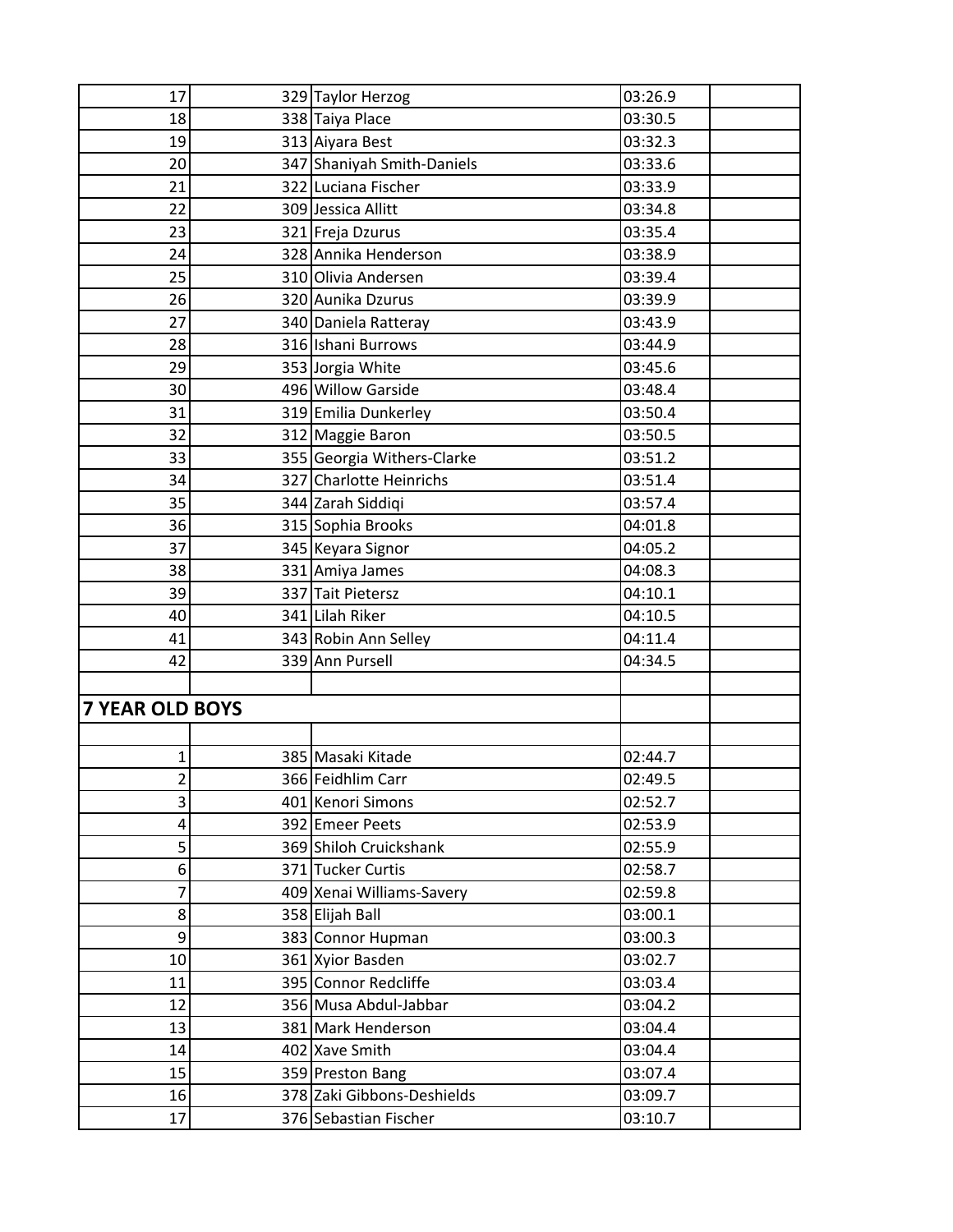| 17                     | 329 Taylor Herzog          | 03:26.9 |
|------------------------|----------------------------|---------|
| 18                     | 338 Taiya Place            | 03:30.5 |
| 19                     | 313 Aiyara Best            | 03:32.3 |
| 20                     | 347 Shaniyah Smith-Daniels | 03:33.6 |
| 21                     | 322 Luciana Fischer        | 03:33.9 |
| 22                     | 309 Jessica Allitt         | 03:34.8 |
| 23                     | 321 Freja Dzurus           | 03:35.4 |
| 24                     | 328 Annika Henderson       | 03:38.9 |
| 25                     | 310 Olivia Andersen        | 03:39.4 |
| 26                     | 320 Aunika Dzurus          | 03:39.9 |
| 27                     | 340 Daniela Ratteray       | 03:43.9 |
| 28                     | 316 Ishani Burrows         | 03:44.9 |
| 29                     | 353 Jorgia White           | 03:45.6 |
| 30                     | 496 Willow Garside         | 03:48.4 |
| 31                     | 319 Emilia Dunkerley       | 03:50.4 |
| 32                     | 312 Maggie Baron           | 03:50.5 |
| 33                     | 355 Georgia Withers-Clarke | 03:51.2 |
| 34                     | 327 Charlotte Heinrichs    | 03:51.4 |
| 35                     | 344 Zarah Siddiqi          | 03:57.4 |
| 36                     | 315 Sophia Brooks          | 04:01.8 |
| 37                     | 345 Keyara Signor          | 04:05.2 |
| 38                     | 331 Amiya James            | 04:08.3 |
| 39                     | 337 Tait Pietersz          | 04:10.1 |
| 40                     | 341 Lilah Riker            | 04:10.5 |
| 41                     | 343 Robin Ann Selley       | 04:11.4 |
| 42                     | 339 Ann Pursell            | 04:34.5 |
|                        |                            |         |
| <b>7 YEAR OLD BOYS</b> |                            |         |
|                        |                            |         |
| $\mathbf 1$            | 385 Masaki Kitade          | 02:44.7 |
| $\overline{2}$         | 366 Feidhlim Carr          | 02:49.5 |
| 3                      | 401 Kenori Simons          | 02:52.7 |
| 4                      | 392 Emeer Peets            | 02:53.9 |
| 5                      | 369 Shiloh Cruickshank     | 02:55.9 |
| 6                      | 371 Tucker Curtis          | 02:58.7 |
| 7                      | 409 Xenai Williams-Savery  | 02:59.8 |
| 8                      | 358 Elijah Ball            | 03:00.1 |
| 9                      | 383 Connor Hupman          | 03:00.3 |
| 10                     | 361 Xyior Basden           | 03:02.7 |
| 11                     | 395 Connor Redcliffe       | 03:03.4 |
| 12                     | 356 Musa Abdul-Jabbar      | 03:04.2 |
| 13                     | 381 Mark Henderson         | 03:04.4 |
| 14                     | 402 Xave Smith             | 03:04.4 |
| 15                     | 359 Preston Bang           | 03:07.4 |
| 16                     | 378 Zaki Gibbons-Deshields | 03:09.7 |
| 17                     | 376 Sebastian Fischer      | 03:10.7 |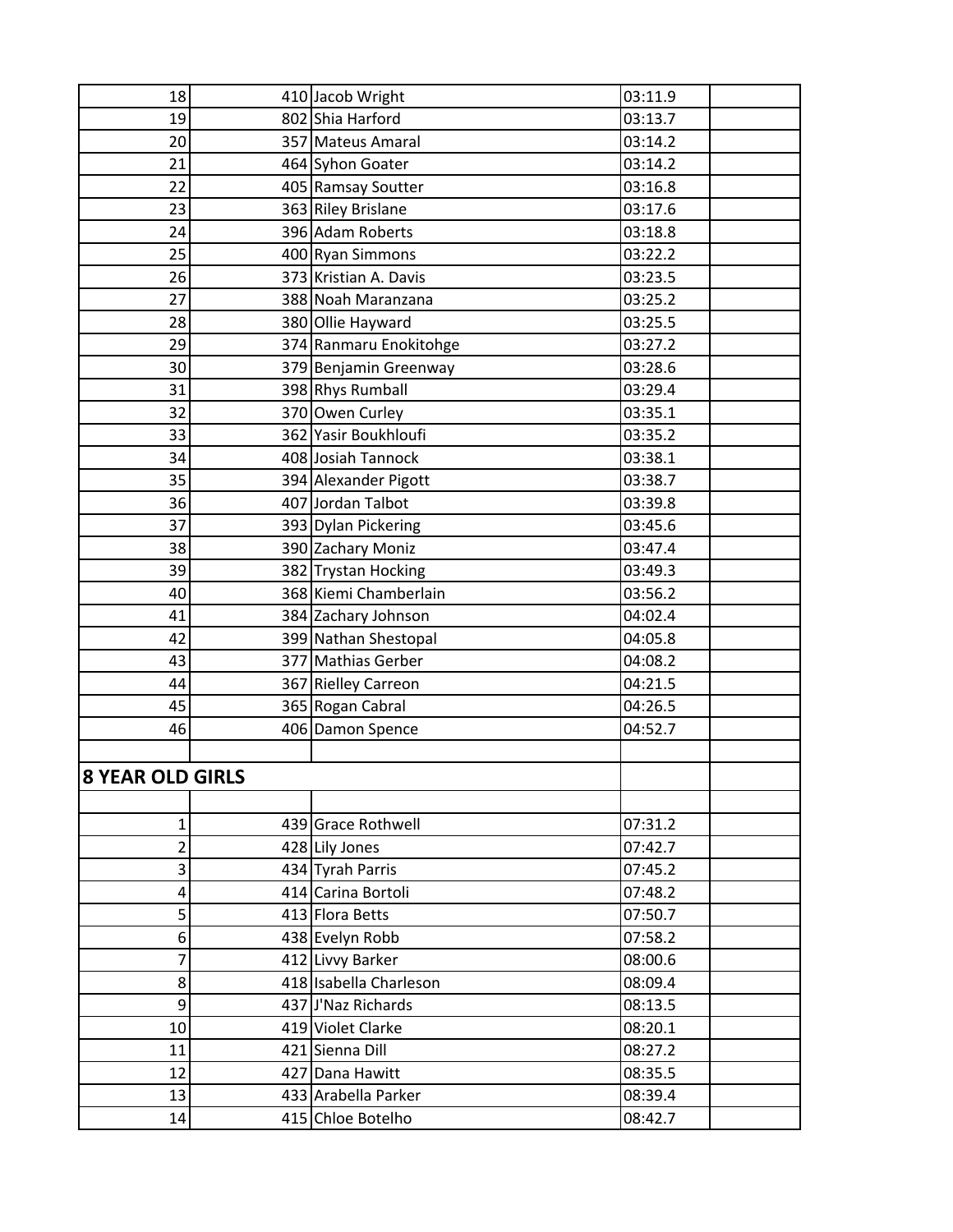| 18                      | 410 Jacob Wright       | 03:11.9 |
|-------------------------|------------------------|---------|
| 19                      | 802 Shia Harford       | 03:13.7 |
| 20                      | 357 Mateus Amaral      | 03:14.2 |
| 21                      | 464 Syhon Goater       | 03:14.2 |
| 22                      | 405 Ramsay Soutter     | 03:16.8 |
| 23                      | 363 Riley Brislane     | 03:17.6 |
| 24                      | 396 Adam Roberts       | 03:18.8 |
| 25                      | 400 Ryan Simmons       | 03:22.2 |
| 26                      | 373 Kristian A. Davis  | 03:23.5 |
| 27                      | 388 Noah Maranzana     | 03:25.2 |
| 28                      | 380 Ollie Hayward      | 03:25.5 |
| 29                      | 374 Ranmaru Enokitohge | 03:27.2 |
| 30                      | 379 Benjamin Greenway  | 03:28.6 |
| 31                      | 398 Rhys Rumball       | 03:29.4 |
| 32                      | 370 Owen Curley        | 03:35.1 |
| 33                      | 362 Yasir Boukhloufi   | 03:35.2 |
| 34                      | 408 Josiah Tannock     | 03:38.1 |
| 35                      | 394 Alexander Pigott   | 03:38.7 |
| 36                      | 407 Jordan Talbot      | 03:39.8 |
| 37                      | 393 Dylan Pickering    | 03:45.6 |
| 38                      | 390 Zachary Moniz      | 03:47.4 |
| 39                      | 382 Trystan Hocking    | 03:49.3 |
| 40                      | 368 Kiemi Chamberlain  | 03:56.2 |
| 41                      | 384 Zachary Johnson    | 04:02.4 |
| 42                      | 399 Nathan Shestopal   | 04:05.8 |
| 43                      | 377 Mathias Gerber     | 04:08.2 |
| 44                      | 367 Rielley Carreon    | 04:21.5 |
| 45                      | 365 Rogan Cabral       | 04:26.5 |
| 46                      | 406 Damon Spence       | 04:52.7 |
|                         |                        |         |
| <b>8 YEAR OLD GIRLS</b> |                        |         |
|                         |                        |         |
| $\mathbf{1}$            | 439 Grace Rothwell     | 07:31.2 |
| $\overline{2}$          | 428 Lily Jones         | 07:42.7 |
| 3                       | 434 Tyrah Parris       | 07:45.2 |
| 4                       | 414 Carina Bortoli     | 07:48.2 |
| 5                       | 413 Flora Betts        | 07:50.7 |
| 6                       | 438 Evelyn Robb        | 07:58.2 |
| 7                       | 412 Livvy Barker       | 08:00.6 |
| 8                       | 418 Isabella Charleson | 08:09.4 |
| 9                       | 437 J'Naz Richards     | 08:13.5 |
| 10                      | 419 Violet Clarke      | 08:20.1 |
| 11                      | 421 Sienna Dill        | 08:27.2 |
| 12                      | 427 Dana Hawitt        | 08:35.5 |
| 13                      | 433 Arabella Parker    | 08:39.4 |
| 14                      | 415 Chloe Botelho      | 08:42.7 |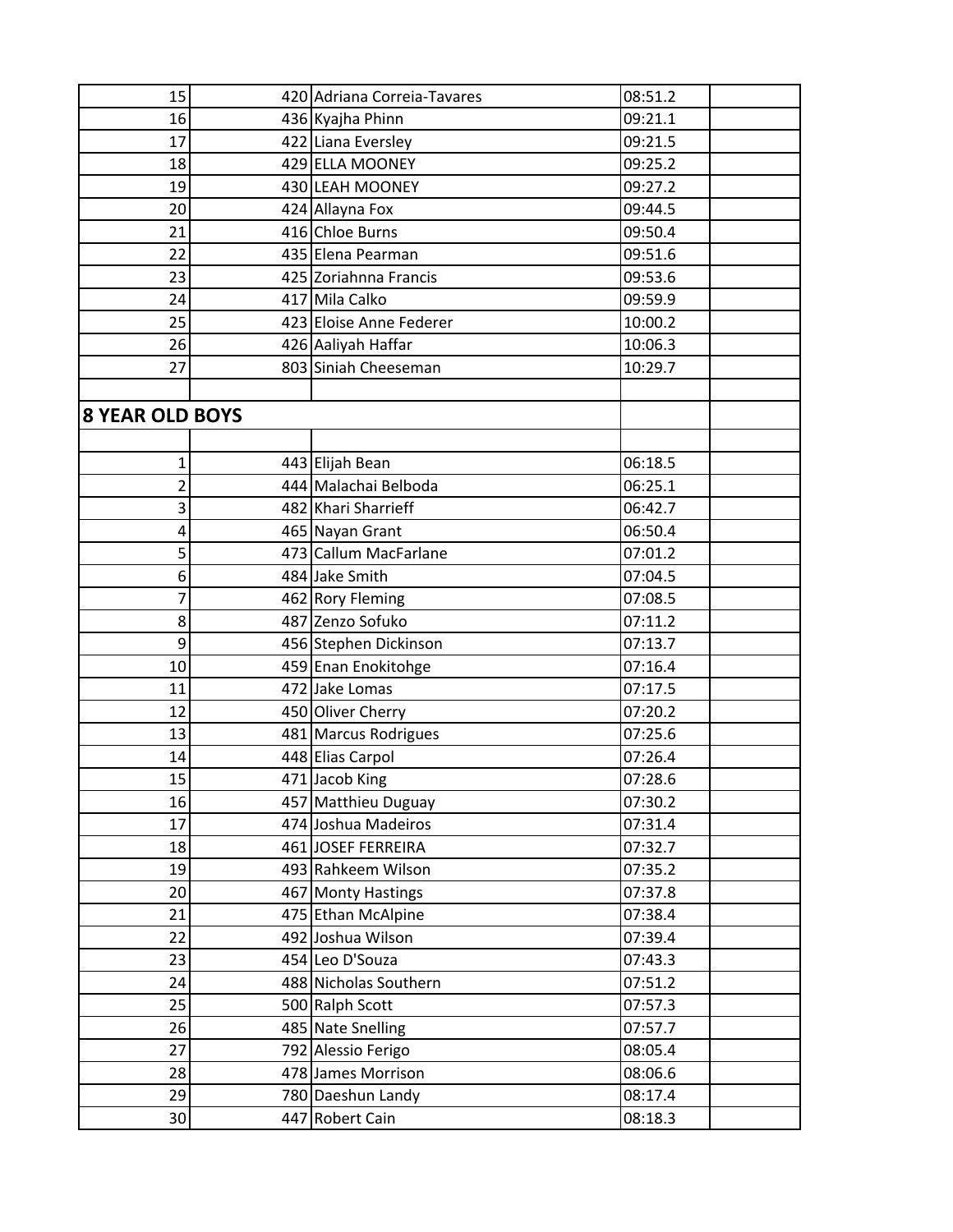| 15                     | 420 Adriana Correia-Tavares | 08:51.2 |
|------------------------|-----------------------------|---------|
| 16                     | 436 Kyajha Phinn            | 09:21.1 |
| 17                     | 422 Liana Eversley          | 09:21.5 |
| 18                     | 429 ELLA MOONEY             | 09:25.2 |
| 19                     | 430 LEAH MOONEY             | 09:27.2 |
| 20                     | 424 Allayna Fox             | 09:44.5 |
| 21                     | 416 Chloe Burns             | 09:50.4 |
| 22                     | 435 Elena Pearman           | 09:51.6 |
| 23                     | 425 Zoriahnna Francis       | 09:53.6 |
| 24                     | 417 Mila Calko              | 09:59.9 |
| 25                     | 423 Eloise Anne Federer     | 10:00.2 |
| 26                     | 426 Aaliyah Haffar          | 10:06.3 |
| 27                     | 803 Siniah Cheeseman        | 10:29.7 |
|                        |                             |         |
| <b>8 YEAR OLD BOYS</b> |                             |         |
|                        |                             |         |
| 1                      | 443 Elijah Bean             | 06:18.5 |
| 2                      | 444 Malachai Belboda        | 06:25.1 |
| 3                      | 482 Khari Sharrieff         | 06:42.7 |
| 4                      | 465 Nayan Grant             | 06:50.4 |
| 5                      | 473 Callum MacFarlane       | 07:01.2 |
| 6                      | 484 Jake Smith              | 07:04.5 |
| 7                      | 462 Rory Fleming            | 07:08.5 |
| 8                      | 487 Zenzo Sofuko            | 07:11.2 |
| 9                      | 456 Stephen Dickinson       | 07:13.7 |
| 10                     | 459 Enan Enokitohge         | 07:16.4 |
| 11                     | 472 Jake Lomas              | 07:17.5 |
| 12                     | 450 Oliver Cherry           | 07:20.2 |
| 13                     | 481 Marcus Rodrigues        | 07:25.6 |
| 14                     | 448 Elias Carpol            | 07:26.4 |
| 15                     | 471 Jacob King              | 07:28.6 |
| 16                     | 457 Matthieu Duguay         | 07:30.2 |
| 17                     | 474 Joshua Madeiros         | 07:31.4 |
| 18                     | 461 JOSEF FERREIRA          | 07:32.7 |
| 19                     | 493 Rahkeem Wilson          | 07:35.2 |
| 20                     | 467 Monty Hastings          | 07:37.8 |
| 21                     | 475 Ethan McAlpine          | 07:38.4 |
| 22                     | 492 Joshua Wilson           | 07:39.4 |
| 23                     | 454 Leo D'Souza             | 07:43.3 |
| 24                     | 488 Nicholas Southern       | 07:51.2 |
| 25                     | 500 Ralph Scott             | 07:57.3 |
| 26                     | 485 Nate Snelling           | 07:57.7 |
| 27                     | 792 Alessio Ferigo          | 08:05.4 |
| 28                     | 478 James Morrison          | 08:06.6 |
| 29                     | 780 Daeshun Landy           | 08:17.4 |
| 30                     | 447 Robert Cain             | 08:18.3 |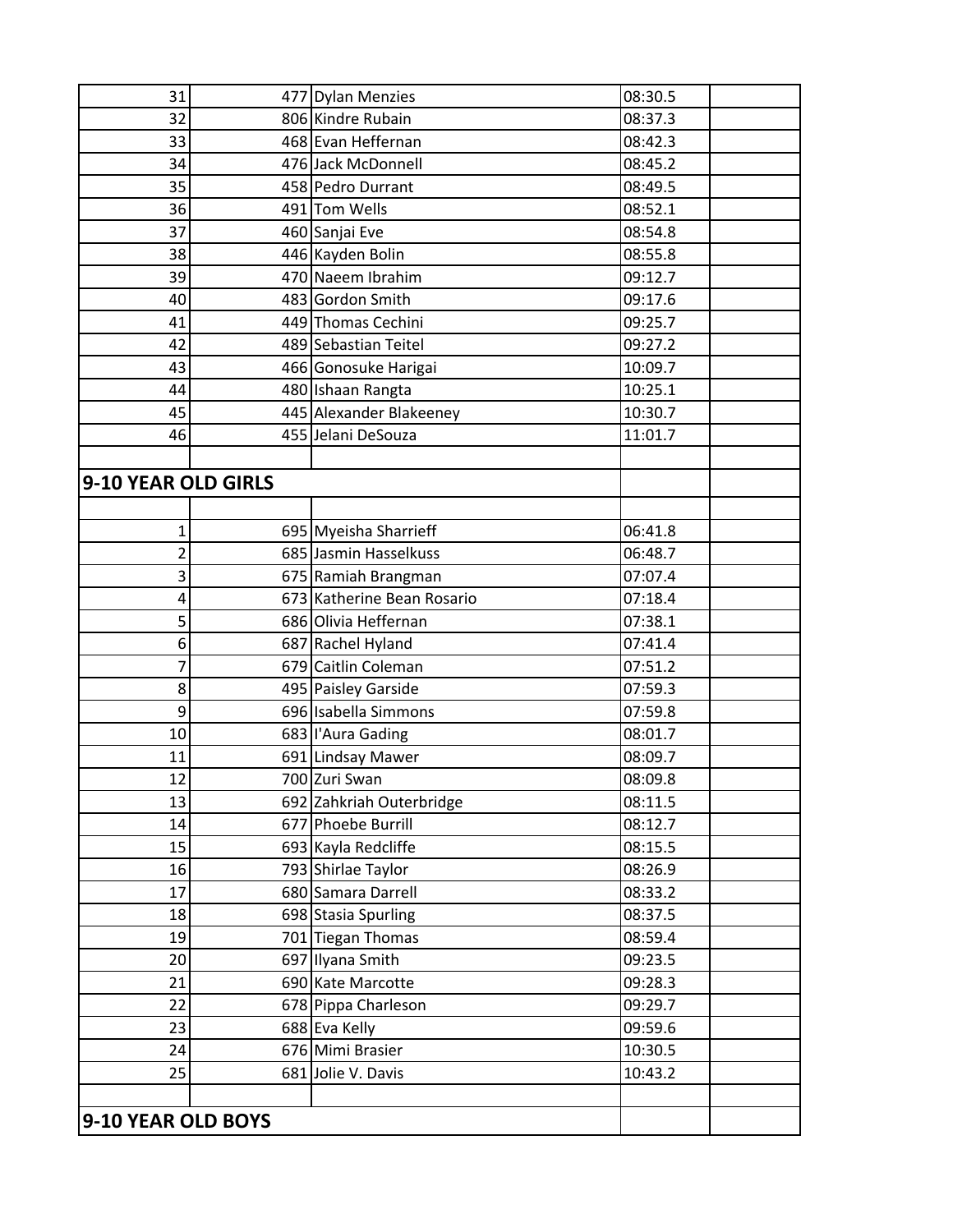| 31                  | 477 Dylan Menzies          | 08:30.5 |
|---------------------|----------------------------|---------|
| 32                  | 806 Kindre Rubain          | 08:37.3 |
| 33                  | 468 Evan Heffernan         | 08:42.3 |
| 34                  | 476 Jack McDonnell         | 08:45.2 |
| 35                  | 458 Pedro Durrant          | 08:49.5 |
| 36                  | 491 Tom Wells              | 08:52.1 |
| 37                  | 460 Sanjai Eve             | 08:54.8 |
| 38                  | 446 Kayden Bolin           | 08:55.8 |
| 39                  | 470 Naeem Ibrahim          | 09:12.7 |
| 40                  | 483 Gordon Smith           | 09:17.6 |
| 41                  | 449 Thomas Cechini         | 09:25.7 |
| 42                  | 489 Sebastian Teitel       | 09:27.2 |
| 43                  | 466 Gonosuke Harigai       | 10:09.7 |
| 44                  | 480 Ishaan Rangta          | 10:25.1 |
| 45                  | 445 Alexander Blakeeney    | 10:30.7 |
| 46                  | 455 Jelani DeSouza         | 11:01.7 |
|                     |                            |         |
| 9-10 YEAR OLD GIRLS |                            |         |
|                     |                            |         |
| 1                   | 695 Myeisha Sharrieff      | 06:41.8 |
| $\overline{2}$      | 685 Jasmin Hasselkuss      | 06:48.7 |
| 3                   | 675 Ramiah Brangman        | 07:07.4 |
| 4                   | 673 Katherine Bean Rosario | 07:18.4 |
| 5                   | 686 Olivia Heffernan       | 07:38.1 |
| 6                   | 687 Rachel Hyland          | 07:41.4 |
| 7                   | 679 Caitlin Coleman        | 07:51.2 |
| 8                   | 495 Paisley Garside        | 07:59.3 |
| 9                   | 696 Isabella Simmons       | 07:59.8 |
| 10                  | 683   'Aura Gading         | 08:01.7 |
| 11                  | 691 Lindsay Mawer          | 08:09.7 |
| 12                  | 700 Zuri Swan              | 08:09.8 |
| 13                  | 692 Zahkriah Outerbridge   | 08:11.5 |
| 14                  | 677 Phoebe Burrill         | 08:12.7 |
| 15                  | 693 Kayla Redcliffe        | 08:15.5 |
| 16                  | 793 Shirlae Taylor         | 08:26.9 |
| 17                  | 680 Samara Darrell         | 08:33.2 |
| 18                  | 698 Stasia Spurling        | 08:37.5 |
| 19                  | 701 Tiegan Thomas          | 08:59.4 |
| 20                  | 697 Ilyana Smith           | 09:23.5 |
| 21                  | 690 Kate Marcotte          | 09:28.3 |
| 22                  | 678 Pippa Charleson        | 09:29.7 |
| 23                  | 688 Eva Kelly              | 09:59.6 |
| 24                  | 676 Mimi Brasier           | 10:30.5 |
| 25                  | 681 Jolie V. Davis         | 10:43.2 |
|                     |                            |         |
| 9-10 YEAR OLD BOYS  |                            |         |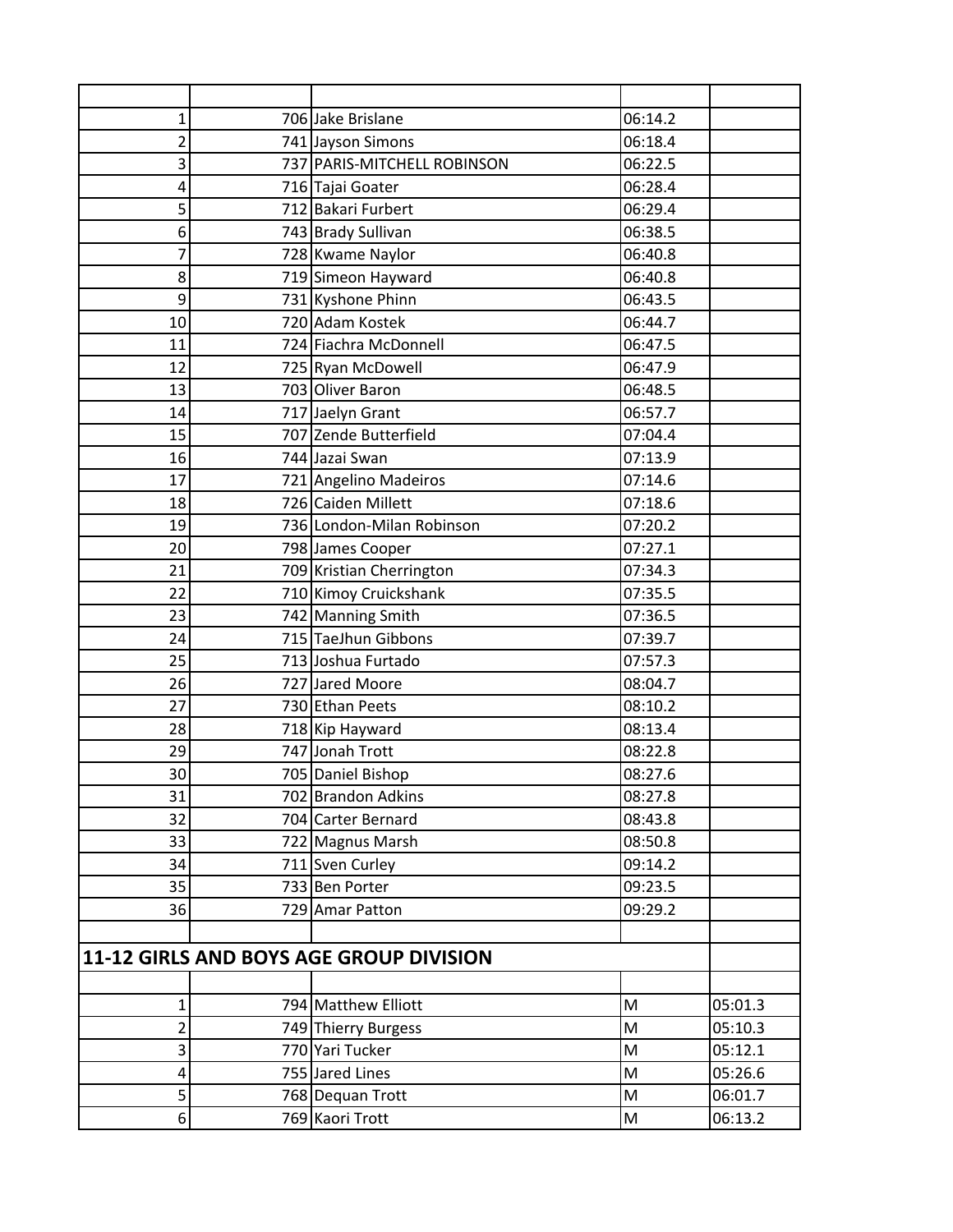| $\mathbf 1$ | 706 Jake Brislane                       | 06:14.2                                                                                                    |         |
|-------------|-----------------------------------------|------------------------------------------------------------------------------------------------------------|---------|
| 2           | 741 Jayson Simons                       | 06:18.4                                                                                                    |         |
| 3           | 737 PARIS-MITCHELL ROBINSON             | 06:22.5                                                                                                    |         |
| 4           | 716 Tajai Goater                        | 06:28.4                                                                                                    |         |
| 5           | 712 Bakari Furbert                      | 06:29.4                                                                                                    |         |
| 6           | 743 Brady Sullivan                      | 06:38.5                                                                                                    |         |
| 7           | 728 Kwame Naylor                        | 06:40.8                                                                                                    |         |
| 8           | 719 Simeon Hayward                      | 06:40.8                                                                                                    |         |
| 9           | 731 Kyshone Phinn                       | 06:43.5                                                                                                    |         |
| 10          | 720 Adam Kostek                         | 06:44.7                                                                                                    |         |
| 11          | 724 Fiachra McDonnell                   | 06:47.5                                                                                                    |         |
| 12          | 725 Ryan McDowell                       | 06:47.9                                                                                                    |         |
| 13          | 703 Oliver Baron                        | 06:48.5                                                                                                    |         |
| 14          | 717 Jaelyn Grant                        | 06:57.7                                                                                                    |         |
| 15          | 707 Zende Butterfield                   | 07:04.4                                                                                                    |         |
| 16          | 744 Jazai Swan                          | 07:13.9                                                                                                    |         |
| 17          | 721 Angelino Madeiros                   | 07:14.6                                                                                                    |         |
| 18          | 726 Caiden Millett                      | 07:18.6                                                                                                    |         |
| 19          | 736 London-Milan Robinson               | 07:20.2                                                                                                    |         |
| 20          | 798 James Cooper                        | 07:27.1                                                                                                    |         |
| 21          | 709 Kristian Cherrington                | 07:34.3                                                                                                    |         |
| 22          | 710 Kimoy Cruickshank                   | 07:35.5                                                                                                    |         |
| 23          | 742 Manning Smith                       | 07:36.5                                                                                                    |         |
| 24          | 715 TaeJhun Gibbons                     | 07:39.7                                                                                                    |         |
| 25          | 713 Joshua Furtado                      | 07:57.3                                                                                                    |         |
| 26          | 727 Jared Moore                         | 08:04.7                                                                                                    |         |
| 27          | 730 Ethan Peets                         | 08:10.2                                                                                                    |         |
| 28          | 718 Kip Hayward                         | 08:13.4                                                                                                    |         |
| 29          | 747 Jonah Trott                         | 08:22.8                                                                                                    |         |
| 30          | 705 Daniel Bishop                       | 08:27.6                                                                                                    |         |
| 31          | 702 Brandon Adkins                      | 08:27.8                                                                                                    |         |
| 32          | 704 Carter Bernard                      | 08:43.8                                                                                                    |         |
| 33          | 722 Magnus Marsh                        | 08:50.8                                                                                                    |         |
| 34          | 711 Sven Curley                         | 09:14.2                                                                                                    |         |
| 35          | 733 Ben Porter                          | 09:23.5                                                                                                    |         |
| 36          | 729 Amar Patton                         | 09:29.2                                                                                                    |         |
|             |                                         |                                                                                                            |         |
|             | 11-12 GIRLS AND BOYS AGE GROUP DIVISION |                                                                                                            |         |
|             |                                         |                                                                                                            |         |
| $\mathbf 1$ | 794 Matthew Elliott                     | M                                                                                                          | 05:01.3 |
| 2           | 749 Thierry Burgess                     | M                                                                                                          | 05:10.3 |
| 3           | 770 Yari Tucker                         | $\mathsf{M}% _{T}=\mathsf{M}_{T}\!\left( a,b\right) ,\ \mathsf{M}_{T}=\mathsf{M}_{T}\!\left( a,b\right) ,$ | 05:12.1 |
| 4           | 755 Jared Lines                         | M                                                                                                          | 05:26.6 |
| 5           | 768 Dequan Trott                        | M                                                                                                          | 06:01.7 |
| 6           | 769 Kaori Trott                         | M                                                                                                          | 06:13.2 |